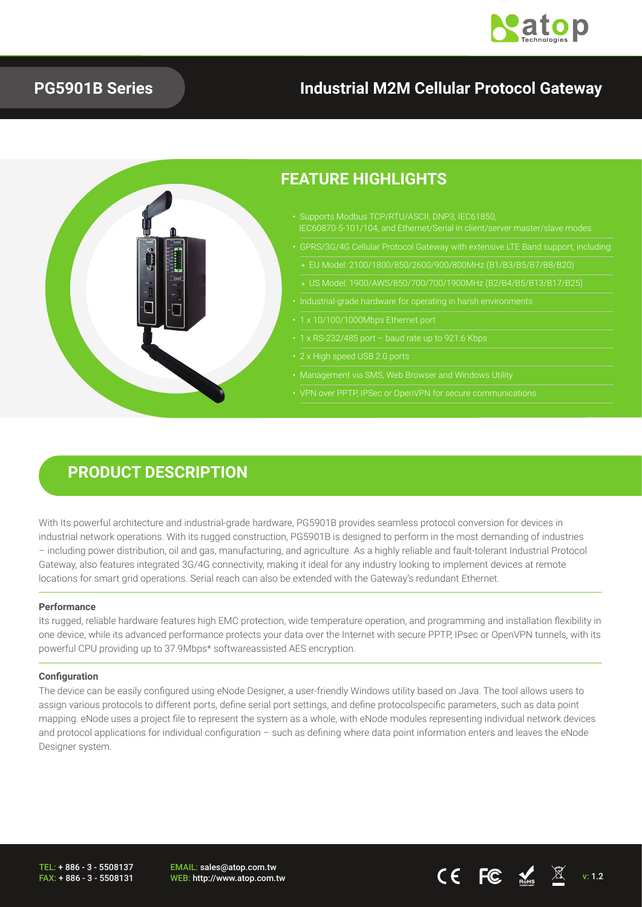

### **PG5901B Series**

## **Industrial M2M Cellular Protocol Gateway**



### **PRODUCT DESCRIPTION**

With Its powerful architecture and industrial-grade hardware, PG5901B provides seamless protocol conversion for devices in industrial network operations. With its rugged construction, PG5901B is designed to perform in the most demanding of industries – including power distribution, oil and gas, manufacturing, and agriculture. As a highly reliable and fault-tolerant Industrial Protocol Gateway, also features integrated 3G/4G connectivity, making it ideal for any industry looking to implement devices at remote locations for smart grid operations. Serial reach can also be extended with the Gateway's redundant Ethernet.

### **Performance**

Its rugged, reliable hardware features high EMC protection, wide temperature operation, and programming and installation flexibility in one device, while its advanced performance protects your data over the Internet with secure PPTP, IPsec or OpenVPN tunnels, with its powerful CPU providing up to 37.9Mbps\* softwareassisted AES encryption.

### **Configuration**

The device can be easily configured using eNode Designer, a user-friendly Windows utility based on Java. The tool allows users to assign various protocols to different ports, define serial port settings, and define protocolspecific parameters, such as data point mapping. eNode uses a project file to represent the system as a whole, with eNode modules representing individual network devices and protocol applications for individual configuration – such as defining where data point information enters and leaves the eNode Designer system.

TEL: + 886 - 3 - 5508137 FAX: + 886 - 3 - 5508131 EMAIL: sales@atop.com.tw WEB: http://www.atop.com.tw **views** and the views of  $\mathbb{C}$  of  $\mathbb{C}$  of  $\mathbb{C}$   $\mathbb{C}$   $\mathbb{C}$   $\mathbb{C}$   $\mathbb{C}$   $\mathbb{C}$   $\mathbb{C}$   $\mathbb{C}$   $\mathbb{C}$   $\mathbb{C}$   $\mathbb{C}$   $\mathbb{C}$   $\mathbb{C}$   $\mathbb{C}$   $\mathbb{C}$   $\mathbb{C}$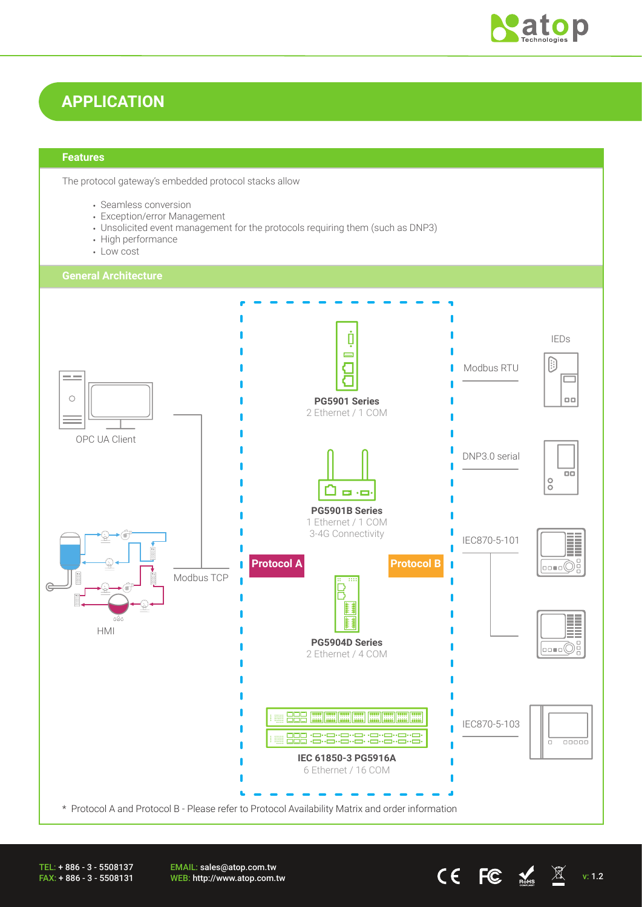

## **APPLICATION**

### **Features**

The protocol gateway's embedded protocol stacks allow

- Seamless conversion
- Exception/error Management
- Unsolicited event management for the protocols requiring them (such as DNP3)
- High performance
- Low cost



TEL: + 886 - 3 - 5508137 FAX: + 886 - 3 - 5508131 EMAIL: sales@atop.com.tw **EWAIL:** Sales water com.tw v: 1.2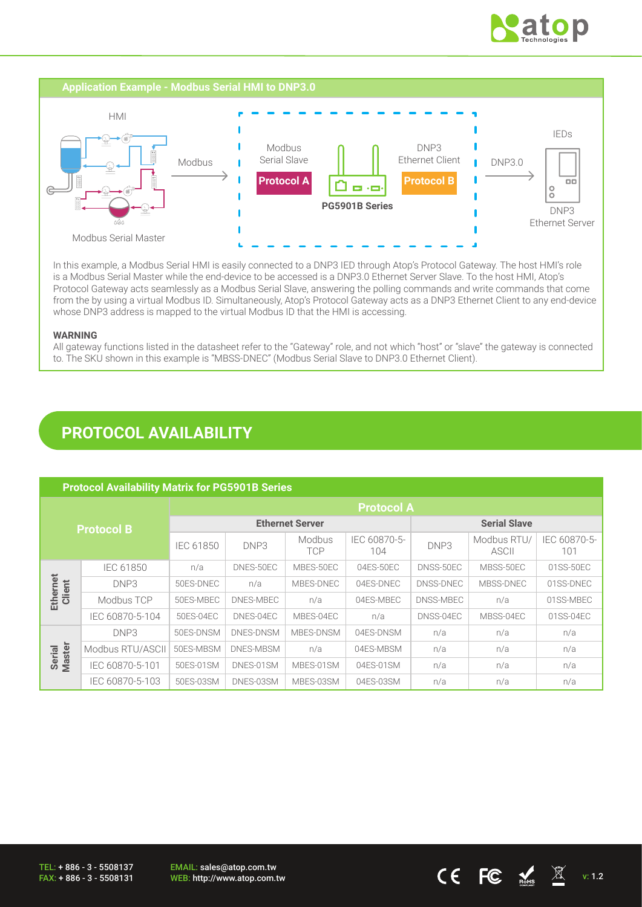



In this example, a Modbus Serial HMI is easily connected to a DNP3 IED through Atop's Protocol Gateway. The host HMI's role is a Modbus Serial Master while the end-device to be accessed is a DNP3.0 Ethernet Server Slave. To the host HMI, Atop's Protocol Gateway acts seamlessly as a Modbus Serial Slave, answering the polling commands and write commands that come from the by using a virtual Modbus ID. Simultaneously, Atop's Protocol Gateway acts as a DNP3 Ethernet Client to any end-device whose DNP3 address is mapped to the virtual Modbus ID that the HMI is accessing.

### **WARNING**

All gateway functions listed in the datasheet refer to the "Gateway" role, and not which "host" or "slave" the gateway is connected to. The SKU shown in this example is "MBSS-DNEC" (Modbus Serial Slave to DNP3.0 Ethernet Client).

## **PROTOCOL AVAILABILITY**

| <b>Protocol Availability Matrix for PG5901B Series</b> |                  |                        |           |                             |                     |           |                             |                     |
|--------------------------------------------------------|------------------|------------------------|-----------|-----------------------------|---------------------|-----------|-----------------------------|---------------------|
| <b>Protocol B</b>                                      |                  | <b>Protocol A</b>      |           |                             |                     |           |                             |                     |
|                                                        |                  | <b>Ethernet Server</b> |           |                             | <b>Serial Slave</b> |           |                             |                     |
|                                                        |                  | <b>IEC 61850</b>       | DNP3      | <b>Modbus</b><br><b>TCP</b> | IEC 60870-5-<br>104 | DNP3      | Modbus RTU/<br><b>ASCII</b> | IEC 60870-5-<br>101 |
|                                                        | IEC 61850        | n/a                    | DNES-50EC | MBES-50EC                   | 04ES-50EC           | DNSS-50EC | MBSS-50EC                   | 01SS-50EC           |
| Ethernet<br>Client                                     | DNP3             | 50ES-DNEC              | n/a       | MBES-DNEC                   | 04ES-DNEC           | DNSS-DNEC | MBSS-DNEC                   | 01SS-DNEC           |
|                                                        | Modbus TCP       | 50ES-MBEC              | DNES-MBEC | n/a                         | 04ES-MBEC           | DNSS-MBEC | n/a                         | 01SS-MBEC           |
|                                                        | IEC 60870-5-104  | 50ES-04EC              | DNES-04EC | MBES-04EC                   | n/a                 | DNSS-04EC | MBSS-04EC                   | 01SS-04EC           |
| Serial<br>Master                                       | DNP3             | 50ES-DNSM              | DNES-DNSM | MBES-DNSM                   | 04ES-DNSM           | n/a       | n/a                         | n/a                 |
|                                                        | Modbus RTU/ASCII | 50ES-MBSM              | DNES-MBSM | n/a                         | 04ES-MBSM           | n/a       | n/a                         | n/a                 |
|                                                        | IEC 60870-5-101  | 50ES-01SM              | DNES-01SM | MBES-01SM                   | 04ES-01SM           | n/a       | n/a                         | n/a                 |
|                                                        | IEC 60870-5-103  | 50ES-03SM              | DNES-03SM | MBES-03SM                   | 04ES-03SM           | n/a       | n/a                         | n/a                 |

EMAIL: sales@atop.com.tw EWAIL. Sales@atop.com.tw<br>WEB: http://www.atop.com.tw v: 1.2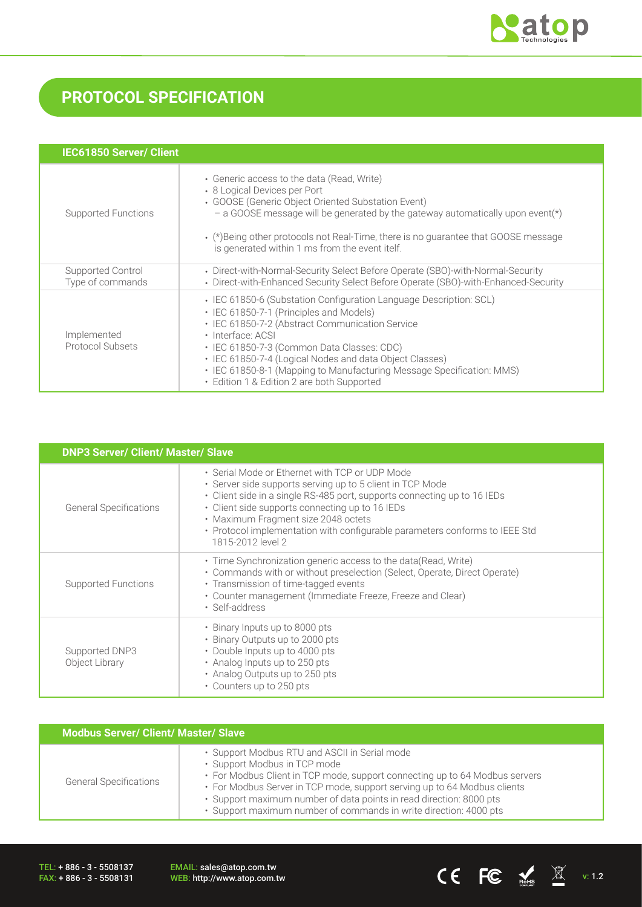

# **PROTOCOL SPECIFICATION**

| <b>IEC61850 Server/ Client</b>        |                                                                                                                                                                                                                                                                                                                                                                                                                       |
|---------------------------------------|-----------------------------------------------------------------------------------------------------------------------------------------------------------------------------------------------------------------------------------------------------------------------------------------------------------------------------------------------------------------------------------------------------------------------|
| Supported Functions                   | • Generic access to the data (Read, Write)<br>• 8 Logical Devices per Port<br>• GOOSE (Generic Object Oriented Substation Event)<br>- a GOOSE message will be generated by the gateway automatically upon event(*)<br>$\cdot$ (*) Being other protocols not Real-Time, there is no guarantee that GOOSE message<br>is generated within 1 ms from the event itelf.                                                     |
| Supported Control<br>Type of commands | • Direct-with-Normal-Security Select Before Operate (SBO)-with-Normal-Security<br>• Direct-with-Enhanced Security Select Before Operate (SBO)-with-Enhanced-Security                                                                                                                                                                                                                                                  |
| Implemented<br>Protocol Subsets       | • IEC 61850-6 (Substation Configuration Language Description: SCL)<br>• IEC 61850-7-1 (Principles and Models)<br>• IEC 61850-7-2 (Abstract Communication Service<br>· Interface: ACSI<br>· IEC 61850-7-3 (Common Data Classes: CDC)<br>• IEC 61850-7-4 (Logical Nodes and data Object Classes)<br>• IEC 61850-8-1 (Mapping to Manufacturing Message Specification: MMS)<br>• Edition 1 & Edition 2 are both Supported |

| <b>DNP3 Server/ Client/ Master/ Slave</b> |                                                                                                                                                                                                                                                                                                                                                                                       |  |  |  |
|-------------------------------------------|---------------------------------------------------------------------------------------------------------------------------------------------------------------------------------------------------------------------------------------------------------------------------------------------------------------------------------------------------------------------------------------|--|--|--|
| <b>General Specifications</b>             | • Serial Mode or Ethernet with TCP or UDP Mode<br>· Server side supports serving up to 5 client in TCP Mode<br>• Client side in a single RS-485 port, supports connecting up to 16 IEDs<br>• Client side supports connecting up to 16 IEDs<br>• Maximum Fragment size 2048 octets<br>• Protocol implementation with configurable parameters conforms to IEEE Std<br>1815-2012 level 2 |  |  |  |
| Supported Functions                       | • Time Synchronization generic access to the data (Read, Write)<br>• Commands with or without preselection (Select, Operate, Direct Operate)<br>• Transmission of time-tagged events<br>• Counter management (Immediate Freeze, Freeze and Clear)<br>• Self-address                                                                                                                   |  |  |  |
| Supported DNP3<br>Object Library          | • Binary Inputs up to 8000 pts<br>• Binary Outputs up to 2000 pts<br>• Double Inputs up to 4000 pts<br>• Analog Inputs up to 250 pts<br>• Analog Outputs up to 250 pts<br>• Counters up to 250 pts                                                                                                                                                                                    |  |  |  |

| <b>Modbus Server/ Client/ Master/ Slave</b> |                                                                                                                                                                                                                                                                                                                                                                                      |  |  |  |
|---------------------------------------------|--------------------------------------------------------------------------------------------------------------------------------------------------------------------------------------------------------------------------------------------------------------------------------------------------------------------------------------------------------------------------------------|--|--|--|
| <b>General Specifications</b>               | • Support Modbus RTU and ASCII in Serial mode<br>• Support Modbus in TCP mode<br>• For Modbus Client in TCP mode, support connecting up to 64 Modbus servers<br>• For Modbus Server in TCP mode, support serving up to 64 Modbus clients<br>· Support maximum number of data points in read direction: 8000 pts<br>· Support maximum number of commands in write direction: 4000 pts |  |  |  |

TEL: + 886 - 3 - 5508137 FAX: + 886 - 3 - 5508131

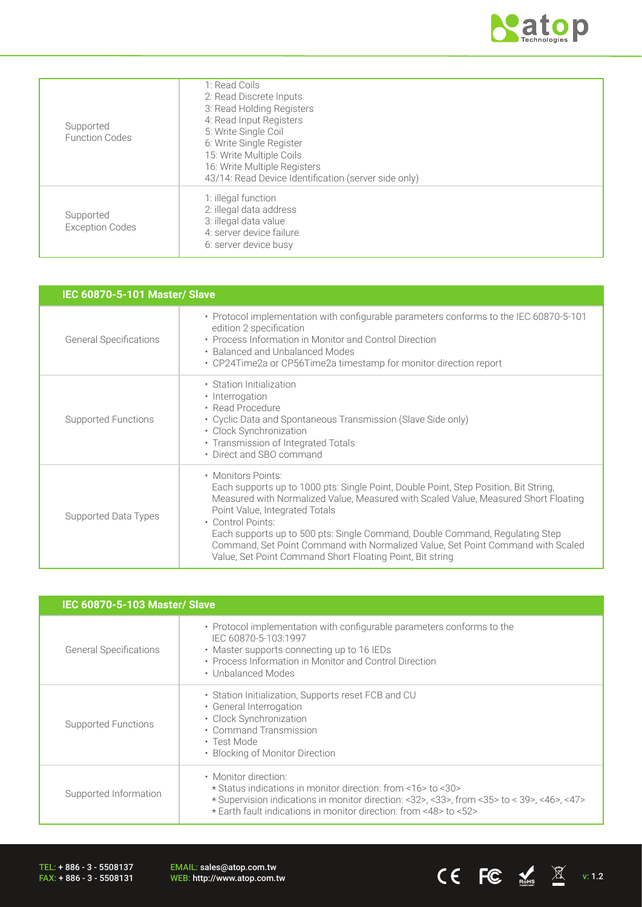

| Supported<br><b>Function Codes</b>  | 1: Read Coils<br>2: Read Discrete Inputs<br>3: Read Holding Registers<br>4: Read Input Registers<br>5: Write Single Coil<br>6: Write Single Register<br>15: Write Multiple Coils<br>16: Write Multiple Registers<br>43/14: Read Device Identification (server side only) |
|-------------------------------------|--------------------------------------------------------------------------------------------------------------------------------------------------------------------------------------------------------------------------------------------------------------------------|
| Supported<br><b>Exception Codes</b> | 1: illegal function<br>2: illegal data address<br>3: illegal data value<br>4: server device failure<br>6: server device busy                                                                                                                                             |

| <b>IEC 60870-5-101 Master/ Slave</b> |                                                                                                                                                                                                                                                                                                                                                                                                                                                                                          |  |  |  |
|--------------------------------------|------------------------------------------------------------------------------------------------------------------------------------------------------------------------------------------------------------------------------------------------------------------------------------------------------------------------------------------------------------------------------------------------------------------------------------------------------------------------------------------|--|--|--|
| <b>General Specifications</b>        | • Protocol implementation with configurable parameters conforms to the IEC 60870-5-101<br>edition 2 specification<br>• Process Information in Monitor and Control Direction<br>• Balanced and Unbalanced Modes<br>• CP24Time2a or CP56Time2a timestamp for monitor direction report                                                                                                                                                                                                      |  |  |  |
| <b>Supported Functions</b>           | • Station Initialization<br>• Interrogation<br>• Read Procedure<br>• Cyclic Data and Spontaneous Transmission (Slave Side only)<br>· Clock Synchronization<br>• Transmission of Integrated Totals<br>• Direct and SBO command                                                                                                                                                                                                                                                            |  |  |  |
| Supported Data Types                 | • Monitors Points:<br>Each supports up to 1000 pts: Single Point, Double Point, Step Position, Bit String,<br>Measured with Normalized Value, Measured with Scaled Value, Measured Short Floating<br>Point Value, Integrated Totals<br>• Control Points:<br>Each supports up to 500 pts: Single Command, Double Command, Regulating Step<br>Command, Set Point Command with Normalized Value, Set Point Command with Scaled<br>Value, Set Point Command Short Floating Point, Bit string |  |  |  |

| IEC 60870-5-103 Master/ Slave |                                                                                                                                                                                                                                                              |  |
|-------------------------------|--------------------------------------------------------------------------------------------------------------------------------------------------------------------------------------------------------------------------------------------------------------|--|
| <b>General Specifications</b> | • Protocol implementation with configurable parameters conforms to the<br>IEC 60870-5-103:1997<br>• Master supports connecting up to 16 IEDs<br>• Process Information in Monitor and Control Direction<br>• Unbalanced Modes                                 |  |
| Supported Functions           | • Station Initialization, Supports reset FCB and CU<br>• General Interrogation<br>• Clock Synchronization<br>• Command Transmission<br>• Test Mode<br>• Blocking of Monitor Direction                                                                        |  |
| Supported Information         | • Monitor direction:<br>* Status indications in monitor direction: from <16>to <30><br>$\star$ Supervision indications in monitor direction: <32>, <33>, from <35> to < 39>, <46>, <47><br>* Earth fault indications in monitor direction: from <48> to <52> |  |

TEL: + 886 - 3 - 5508137 FAX: + 886 - 3 - 5508131

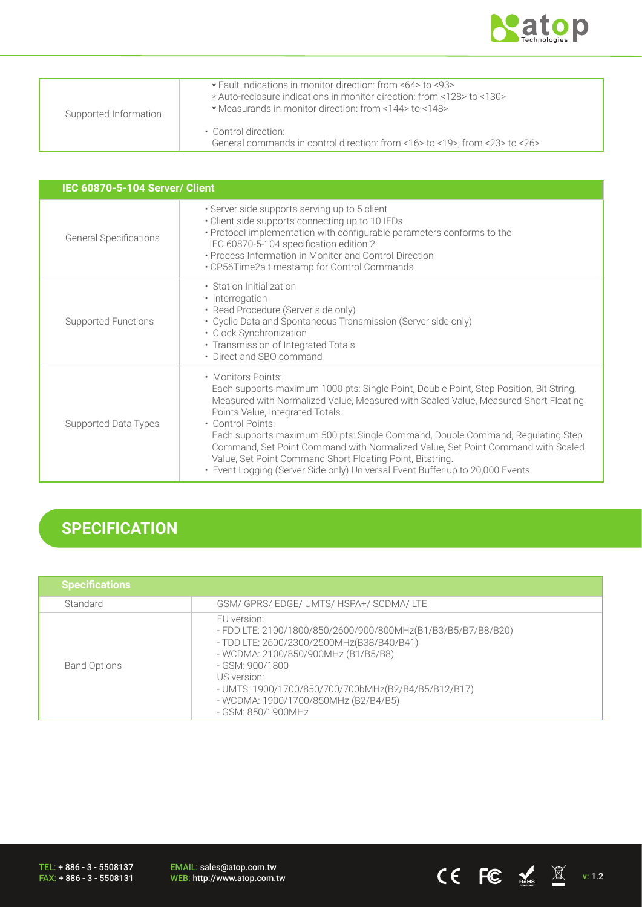

CE FC  $\underset{\text{nohs}}{\mathbb{E}}$   $\mathbb{E}$  v: 1.2

| Supported Information | * Fault indications in monitor direction: from <64> to <93><br>* Auto-reclosure indications in monitor direction: from <128> to <130><br>* Measurands in monitor direction: from <144> to <148> |
|-----------------------|-------------------------------------------------------------------------------------------------------------------------------------------------------------------------------------------------|
|                       | • Control direction:<br>General commands in control direction: from <16> to <19>, from <23> to <26>                                                                                             |

| <b>IEC 60870-5-104 Server/ Client</b> |                                                                                                                                                                                                                                                                                                                                                                                                                                                                                                                                                                                 |  |  |  |
|---------------------------------------|---------------------------------------------------------------------------------------------------------------------------------------------------------------------------------------------------------------------------------------------------------------------------------------------------------------------------------------------------------------------------------------------------------------------------------------------------------------------------------------------------------------------------------------------------------------------------------|--|--|--|
| <b>General Specifications</b>         | · Server side supports serving up to 5 client<br>• Client side supports connecting up to 10 IEDs<br>• Protocol implementation with configurable parameters conforms to the<br>IEC 60870-5-104 specification edition 2<br>• Process Information in Monitor and Control Direction<br>• CP56Time2a timestamp for Control Commands                                                                                                                                                                                                                                                  |  |  |  |
| Supported Functions                   | • Station Initialization<br>• Interrogation<br>• Read Procedure (Server side only)<br>• Cyclic Data and Spontaneous Transmission (Server side only)<br>· Clock Synchronization<br>• Transmission of Integrated Totals<br>• Direct and SBO command                                                                                                                                                                                                                                                                                                                               |  |  |  |
| Supported Data Types                  | • Monitors Points:<br>Each supports maximum 1000 pts: Single Point, Double Point, Step Position, Bit String,<br>Measured with Normalized Value, Measured with Scaled Value, Measured Short Floating<br>Points Value, Integrated Totals.<br>• Control Points:<br>Each supports maximum 500 pts: Single Command, Double Command, Regulating Step<br>Command, Set Point Command with Normalized Value, Set Point Command with Scaled<br>Value, Set Point Command Short Floating Point, Bitstring.<br>• Event Logging (Server Side only) Universal Event Buffer up to 20,000 Events |  |  |  |

# **SPECIFICATION**

| <b>Specifications</b> |                                                                                                                                                                                                                                                                                                                        |
|-----------------------|------------------------------------------------------------------------------------------------------------------------------------------------------------------------------------------------------------------------------------------------------------------------------------------------------------------------|
| Standard              | GSM/ GPRS/ EDGE/ UMTS/ HSPA+/ SCDMA/ LTE                                                                                                                                                                                                                                                                               |
| <b>Band Options</b>   | EU version:<br>- FDD LTE: 2100/1800/850/2600/900/800MHz(B1/B3/B5/B7/B8/B20)<br>- TDD LTE: 2600/2300/2500MHz(B38/B40/B41)<br>- WCDMA: 2100/850/900MHz (B1/B5/B8)<br>- GSM: 900/1800<br>US version:<br>- UMTS: 1900/1700/850/700/700bMHz(B2/B4/B5/B12/B17)<br>- WCDMA: 1900/1700/850MHz (B2/B4/B5)<br>- GSM: 850/1900MHz |

TEL: + 886 - 3 - 5508137 FAX: + 886 - 3 - 5508131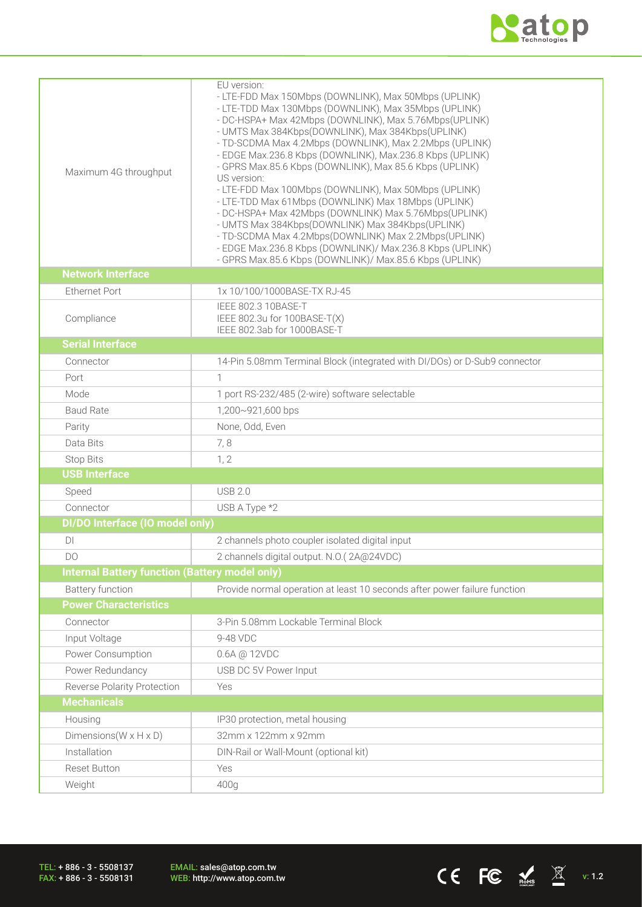

CE FC  $\underset{\text{meas}}{\triangle}$   $\mathbb{X}$  v: 1.2

| Maximum 4G throughput                                 | EU version:<br>- LTE-FDD Max 150Mbps (DOWNLINK), Max 50Mbps (UPLINK)<br>- LTE-TDD Max 130Mbps (DOWNLINK), Max 35Mbps (UPLINK)<br>- DC-HSPA+ Max 42Mbps (DOWNLINK), Max 5.76Mbps(UPLINK)<br>- UMTS Max 384Kbps(DOWNLINK), Max 384Kbps(UPLINK)<br>- TD-SCDMA Max 4.2Mbps (DOWNLINK), Max 2.2Mbps (UPLINK)<br>- EDGE Max.236.8 Kbps (DOWNLINK), Max.236.8 Kbps (UPLINK)<br>- GPRS Max.85.6 Kbps (DOWNLINK), Max 85.6 Kbps (UPLINK)<br>US version:<br>- LTE-FDD Max 100Mbps (DOWNLINK), Max 50Mbps (UPLINK)<br>- LTE-TDD Max 61Mbps (DOWNLINK) Max 18Mbps (UPLINK)<br>- DC-HSPA+ Max 42Mbps (DOWNLINK) Max 5.76Mbps (UPLINK)<br>- UMTS Max 384Kbps(DOWNLINK) Max 384Kbps(UPLINK)<br>- TD-SCDMA Max 4.2Mbps(DOWNLINK) Max 2.2Mbps(UPLINK)<br>- EDGE Max.236.8 Kbps (DOWNLINK)/ Max.236.8 Kbps (UPLINK)<br>- GPRS Max.85.6 Kbps (DOWNLINK)/ Max.85.6 Kbps (UPLINK) |
|-------------------------------------------------------|--------------------------------------------------------------------------------------------------------------------------------------------------------------------------------------------------------------------------------------------------------------------------------------------------------------------------------------------------------------------------------------------------------------------------------------------------------------------------------------------------------------------------------------------------------------------------------------------------------------------------------------------------------------------------------------------------------------------------------------------------------------------------------------------------------------------------------------------------------------|
| <b>Network Interface</b>                              |                                                                                                                                                                                                                                                                                                                                                                                                                                                                                                                                                                                                                                                                                                                                                                                                                                                              |
| Ethernet Port                                         | 1x 10/100/1000BASE-TX RJ-45                                                                                                                                                                                                                                                                                                                                                                                                                                                                                                                                                                                                                                                                                                                                                                                                                                  |
| Compliance                                            | IEEE 802.3 10BASE-T<br>IEEE 802.3u for 100BASE-T(X)<br>IEEE 802.3ab for 1000BASE-T                                                                                                                                                                                                                                                                                                                                                                                                                                                                                                                                                                                                                                                                                                                                                                           |
| <b>Serial Interface</b>                               |                                                                                                                                                                                                                                                                                                                                                                                                                                                                                                                                                                                                                                                                                                                                                                                                                                                              |
| Connector                                             | 14-Pin 5.08mm Terminal Block (integrated with DI/DOs) or D-Sub9 connector                                                                                                                                                                                                                                                                                                                                                                                                                                                                                                                                                                                                                                                                                                                                                                                    |
| Port                                                  |                                                                                                                                                                                                                                                                                                                                                                                                                                                                                                                                                                                                                                                                                                                                                                                                                                                              |
| Mode                                                  | 1 port RS-232/485 (2-wire) software selectable                                                                                                                                                                                                                                                                                                                                                                                                                                                                                                                                                                                                                                                                                                                                                                                                               |
| <b>Baud Rate</b>                                      | 1,200~921,600 bps                                                                                                                                                                                                                                                                                                                                                                                                                                                                                                                                                                                                                                                                                                                                                                                                                                            |
| Parity                                                | None, Odd, Even                                                                                                                                                                                                                                                                                                                                                                                                                                                                                                                                                                                                                                                                                                                                                                                                                                              |
| Data Bits                                             | 7,8                                                                                                                                                                                                                                                                                                                                                                                                                                                                                                                                                                                                                                                                                                                                                                                                                                                          |
| <b>Stop Bits</b>                                      | 1, 2                                                                                                                                                                                                                                                                                                                                                                                                                                                                                                                                                                                                                                                                                                                                                                                                                                                         |
| <b>USB Interface</b>                                  |                                                                                                                                                                                                                                                                                                                                                                                                                                                                                                                                                                                                                                                                                                                                                                                                                                                              |
| Speed                                                 | <b>USB 2.0</b>                                                                                                                                                                                                                                                                                                                                                                                                                                                                                                                                                                                                                                                                                                                                                                                                                                               |
| Connector                                             | USB A Type *2                                                                                                                                                                                                                                                                                                                                                                                                                                                                                                                                                                                                                                                                                                                                                                                                                                                |
| DI/DO Interface (IO model only)                       |                                                                                                                                                                                                                                                                                                                                                                                                                                                                                                                                                                                                                                                                                                                                                                                                                                                              |
| DI                                                    | 2 channels photo coupler isolated digital input                                                                                                                                                                                                                                                                                                                                                                                                                                                                                                                                                                                                                                                                                                                                                                                                              |
| DO.                                                   | 2 channels digital output. N.O.(2A@24VDC)                                                                                                                                                                                                                                                                                                                                                                                                                                                                                                                                                                                                                                                                                                                                                                                                                    |
| <b>Internal Battery function (Battery model only)</b> |                                                                                                                                                                                                                                                                                                                                                                                                                                                                                                                                                                                                                                                                                                                                                                                                                                                              |
| <b>Battery function</b>                               | Provide normal operation at least 10 seconds after power failure function                                                                                                                                                                                                                                                                                                                                                                                                                                                                                                                                                                                                                                                                                                                                                                                    |
| <b>Power Characteristics</b>                          |                                                                                                                                                                                                                                                                                                                                                                                                                                                                                                                                                                                                                                                                                                                                                                                                                                                              |
| Connector                                             | 3-Pin 5.08mm Lockable Terminal Block                                                                                                                                                                                                                                                                                                                                                                                                                                                                                                                                                                                                                                                                                                                                                                                                                         |
| Input Voltage                                         | 9-48 VDC                                                                                                                                                                                                                                                                                                                                                                                                                                                                                                                                                                                                                                                                                                                                                                                                                                                     |
| Power Consumption                                     | 0.6A @ 12VDC                                                                                                                                                                                                                                                                                                                                                                                                                                                                                                                                                                                                                                                                                                                                                                                                                                                 |
| Power Redundancy                                      | USB DC 5V Power Input                                                                                                                                                                                                                                                                                                                                                                                                                                                                                                                                                                                                                                                                                                                                                                                                                                        |
| Reverse Polarity Protection                           | Yes                                                                                                                                                                                                                                                                                                                                                                                                                                                                                                                                                                                                                                                                                                                                                                                                                                                          |
| <b>Mechanicals</b>                                    |                                                                                                                                                                                                                                                                                                                                                                                                                                                                                                                                                                                                                                                                                                                                                                                                                                                              |
| Housing                                               | IP30 protection, metal housing                                                                                                                                                                                                                                                                                                                                                                                                                                                                                                                                                                                                                                                                                                                                                                                                                               |
| Dimensions ( $W \times H \times D$ )                  | 32mm x 122mm x 92mm                                                                                                                                                                                                                                                                                                                                                                                                                                                                                                                                                                                                                                                                                                                                                                                                                                          |
| Installation                                          | DIN-Rail or Wall-Mount (optional kit)                                                                                                                                                                                                                                                                                                                                                                                                                                                                                                                                                                                                                                                                                                                                                                                                                        |
| <b>Reset Button</b>                                   | Yes                                                                                                                                                                                                                                                                                                                                                                                                                                                                                                                                                                                                                                                                                                                                                                                                                                                          |
| Weight                                                | 400g                                                                                                                                                                                                                                                                                                                                                                                                                                                                                                                                                                                                                                                                                                                                                                                                                                                         |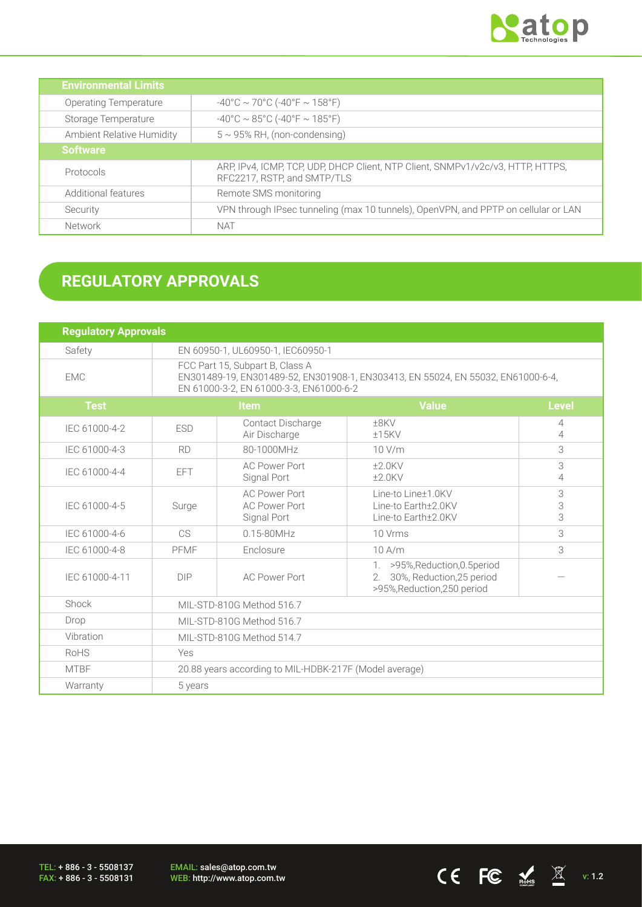

CE FC  $\underset{\text{nohs}}{\mathbb{E}}$   $\mathbb{E}$  v: 1.2

| <b>Environmental Limits</b>      |                                                                                                                |
|----------------------------------|----------------------------------------------------------------------------------------------------------------|
| <b>Operating Temperature</b>     | $-40^{\circ}$ C ~ 70°C (-40°F ~ 158°F)                                                                         |
| Storage Temperature              | $-40^{\circ}$ C ~ 85°C (-40°F ~ 185°F)                                                                         |
| <b>Ambient Relative Humidity</b> | $5 \sim 95\%$ RH, (non-condensing)                                                                             |
| <b>Software</b>                  |                                                                                                                |
| Protocols                        | ARP, IPv4, ICMP, TCP, UDP, DHCP Client, NTP Client, SNMPv1/v2c/v3, HTTP, HTTPS,<br>RFC2217, RSTP, and SMTP/TLS |
| Additional features              | Remote SMS monitoring                                                                                          |
| Security                         | VPN through IPsec tunneling (max 10 tunnels), OpenVPN, and PPTP on cellular or LAN                             |
| Network                          | <b>NAT</b>                                                                                                     |

# **REGULATORY APPROVALS**

| <b>Regulatory Approvals</b> |                                                                                                                                                                |                                                             |                                                                                                   |                     |
|-----------------------------|----------------------------------------------------------------------------------------------------------------------------------------------------------------|-------------------------------------------------------------|---------------------------------------------------------------------------------------------------|---------------------|
| Safety                      | EN 60950-1, UL60950-1, IEC60950-1                                                                                                                              |                                                             |                                                                                                   |                     |
| <b>EMC</b>                  | FCC Part 15, Subpart B, Class A<br>EN301489-19, EN301489-52, EN301908-1, EN303413, EN 55024, EN 55032, EN61000-6-4,<br>EN 61000-3-2, EN 61000-3-3, EN61000-6-2 |                                                             |                                                                                                   |                     |
| <b>Test</b>                 |                                                                                                                                                                | <b>Item</b>                                                 | <b>Value</b>                                                                                      | <b>Level</b>        |
| IEC 61000-4-2               | <b>ESD</b>                                                                                                                                                     | Contact Discharge<br>Air Discharge                          | $±8$ KV<br>±15KV                                                                                  | 4<br>4              |
| IEC 61000-4-3               | <b>RD</b>                                                                                                                                                      | 80-1000MHz                                                  | 10 V/m                                                                                            | 3                   |
| IEC 61000-4-4               | EFT.                                                                                                                                                           | <b>AC Power Port</b><br>Signal Port                         | $±2.0$ KV<br>$±2.0$ KV                                                                            | 3<br>$\overline{4}$ |
| IEC 61000-4-5               | Surge                                                                                                                                                          | <b>AC Power Port</b><br><b>AC Power Port</b><br>Signal Port | Line-to Line±1.0KV<br>Line-to Earth+2.0KV<br>Line-to Earth±2.0KV                                  | 3<br>3<br>3         |
| IEC 61000-4-6               | C <sub>S</sub>                                                                                                                                                 | $0.15 - 80$ MHz                                             | 10 Vrms                                                                                           | 3                   |
| IEC 61000-4-8               | PFMF                                                                                                                                                           | Enclosure                                                   | $10$ A/m                                                                                          | 3                   |
| IEC 61000-4-11              | <b>DIP</b>                                                                                                                                                     | <b>AC Power Port</b>                                        | 1. > 95%, Reduction, 0.5 period<br>30%, Reduction, 25 period<br>2.<br>>95%, Reduction, 250 period |                     |
| Shock                       | MIL-STD-810G Method 516.7                                                                                                                                      |                                                             |                                                                                                   |                     |
| Drop                        | MIL-STD-810G Method 516.7                                                                                                                                      |                                                             |                                                                                                   |                     |
| Vibration                   | MIL-STD-810G Method 514.7                                                                                                                                      |                                                             |                                                                                                   |                     |
| RoHS                        | Yes                                                                                                                                                            |                                                             |                                                                                                   |                     |
| <b>MTBF</b>                 | 20.88 years according to MIL-HDBK-217F (Model average)                                                                                                         |                                                             |                                                                                                   |                     |
| Warranty                    | 5 years                                                                                                                                                        |                                                             |                                                                                                   |                     |

TEL: + 886 - 3 - 5508137 FAX: + 886 - 3 - 5508131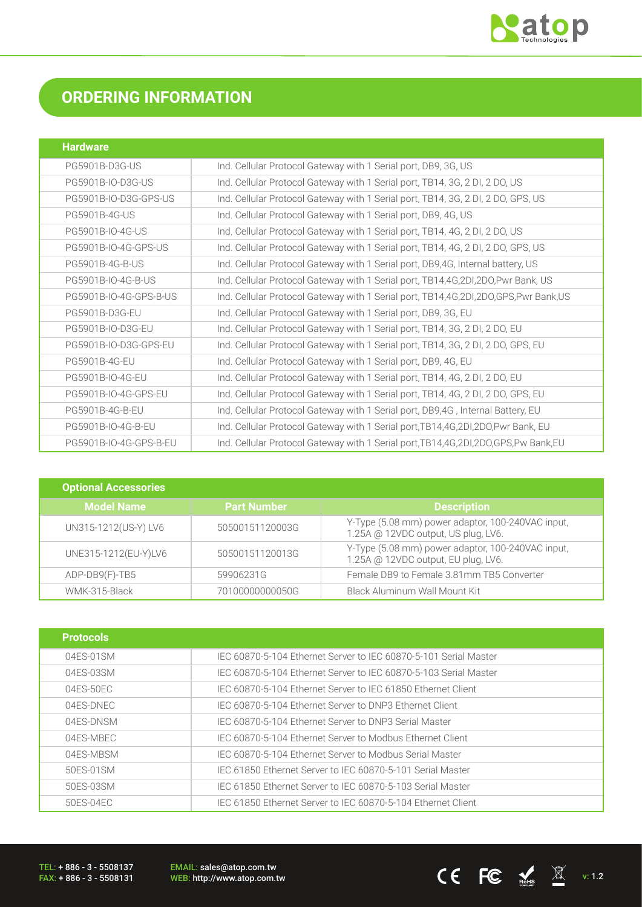

# **ORDERING INFORMATION**

| <b>Hardware</b>        |                                                                                         |
|------------------------|-----------------------------------------------------------------------------------------|
| PG5901B-D3G-US         | Ind. Cellular Protocol Gateway with 1 Serial port, DB9, 3G, US                          |
| PG5901B-IO-D3G-US      | Ind. Cellular Protocol Gateway with 1 Serial port, TB14, 3G, 2 DI, 2 DO, US             |
| PG5901B-IO-D3G-GPS-US  | Ind. Cellular Protocol Gateway with 1 Serial port, TB14, 3G, 2 DI, 2 DO, GPS, US        |
| <b>PG5901B-4G-US</b>   | Ind. Cellular Protocol Gateway with 1 Serial port, DB9, 4G, US                          |
| PG5901B-IO-4G-US       | Ind. Cellular Protocol Gateway with 1 Serial port, TB14, 4G, 2 DI, 2 DO, US             |
| PG5901B-IO-4G-GPS-US   | Ind. Cellular Protocol Gateway with 1 Serial port, TB14, 4G, 2 DI, 2 DO, GPS, US        |
| PG5901B-4G-B-US        | Ind. Cellular Protocol Gateway with 1 Serial port, DB9,4G, Internal battery, US         |
| PG5901B-IO-4G-B-US     | Ind. Cellular Protocol Gateway with 1 Serial port, TB14,4G,2DI,2DO,Pwr Bank, US         |
| PG5901B-IO-4G-GPS-B-US | Ind. Cellular Protocol Gateway with 1 Serial port, TB14,4G,2DI,2DO,GPS,Pwr Bank,US      |
| PG5901B-D3G-EU         | Ind. Cellular Protocol Gateway with 1 Serial port, DB9, 3G, EU                          |
| PG5901B-IO-D3G-EU      | Ind. Cellular Protocol Gateway with 1 Serial port, TB14, 3G, 2 DI, 2 DO, EU             |
| PG5901B-IO-D3G-GPS-EU  | Ind. Cellular Protocol Gateway with 1 Serial port, TB14, 3G, 2 DI, 2 DO, GPS, EU        |
| PG5901B-4G-EU          | Ind. Cellular Protocol Gateway with 1 Serial port, DB9, 4G, EU                          |
| PG5901B-IO-4G-EU       | Ind. Cellular Protocol Gateway with 1 Serial port, TB14, 4G, 2 DI, 2 DO, EU             |
| PG5901B-IO-4G-GPS-EU   | Ind. Cellular Protocol Gateway with 1 Serial port, TB14, 4G, 2 DI, 2 DO, GPS, EU        |
| PG5901B-4G-B-EU        | Ind. Cellular Protocol Gateway with 1 Serial port, DB9,4G, Internal Battery, EU         |
| PG5901B-IO-4G-B-EU     | Ind. Cellular Protocol Gateway with 1 Serial port, TB14, 4G, 2DI, 2DO, Pwr Bank, EU     |
| PG5901B-IO-4G-GPS-B-EU | Ind. Cellular Protocol Gateway with 1 Serial port, TB14, 4G, 2DI, 2DO, GPS, Pw Bank, EU |

| <b>Optional Accessories</b> |                    |                                                                                          |
|-----------------------------|--------------------|------------------------------------------------------------------------------------------|
| <b>Model Name</b>           | <b>Part Number</b> | <b>Description</b>                                                                       |
| UN315-1212(US-Y) LV6        | 50500151120003G    | Y-Type (5.08 mm) power adaptor, 100-240VAC input,<br>1.25A @ 12VDC output, US plug, LV6. |
| UNE315-1212(EU-Y)LV6        | 50500151120013G    | Y-Type (5.08 mm) power adaptor, 100-240VAC input,<br>1.25A @ 12VDC output, EU plug, LV6. |
| ADP-DB9(F)-TB5              | 59906231G          | Female DB9 to Female 3.81mm TB5 Converter                                                |
| WMK-315-Black               | 70100000000050G    | Black Aluminum Wall Mount Kit                                                            |

| <b>Protocols</b> |                                                                  |
|------------------|------------------------------------------------------------------|
| 04FS-01SM        | IEC 60870-5-104 Ethernet Server to IEC 60870-5-101 Serial Master |
| 04ES-03SM        | IEC 60870-5-104 Ethernet Server to IEC 60870-5-103 Serial Master |
| $04FS-50FC$      | IEC 60870-5-104 Ethernet Server to IEC 61850 Ethernet Client     |
| 04FS-DNFC        | IEC 60870-5-104 Ethernet Server to DNP3 Ethernet Client          |
| 04ES-DNSM        | IEC 60870-5-104 Ethernet Server to DNP3 Serial Master            |
| 04ES-MBEC        | IEC 60870-5-104 Ethernet Server to Modbus Ethernet Client        |
| 04ES-MBSM        | IEC 60870-5-104 Ethernet Server to Modbus Serial Master          |
| 50FS-01SM        | IEC 61850 Ethernet Server to IEC 60870-5-101 Serial Master       |
| 50ES-03SM        | IEC 61850 Ethernet Server to IEC 60870-5-103 Serial Master       |
| 50ES-04EC        | IEC 61850 Ethernet Server to IEC 60870-5-104 Ethernet Client     |

TEL: + 886 - 3 - 5508137 FAX: + 886 - 3 - 5508131